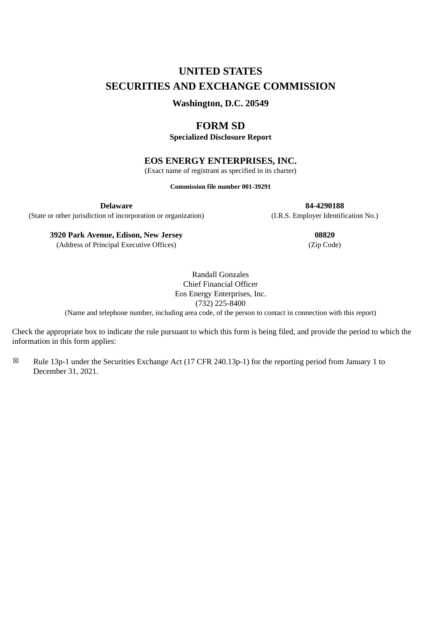# **UNITED STATES SECURITIES AND EXCHANGE COMMISSION**

**Washington, D.C. 20549**

# **FORM SD**

**Specialized Disclosure Report**

# **EOS ENERGY ENTERPRISES, INC.**

(Exact name of registrant as specified in its charter)

**Commission file number 001-39291**

(State or other jurisdiction of incorporation or organization) (I.R.S. Employer Identification No.)

**Delaware 84-4290188**

**3920 Park Avenue, Edison, New Jersey 08820**

(Address of Principal Executive Offices) (Zip Code)

Randall Gonzales Chief Financial Officer Eos Energy Enterprises, Inc. (732) 225-8400 (Name and telephone number, including area code, of the person to contact in connection with this report)

Check the appropriate box to indicate the rule pursuant to which this form is being filed, and provide the period to which the information in this form applies:

 $\boxtimes$  Rule 13p-1 under the Securities Exchange Act (17 CFR 240.13p-1) for the reporting period from January 1 to December 31, 2021.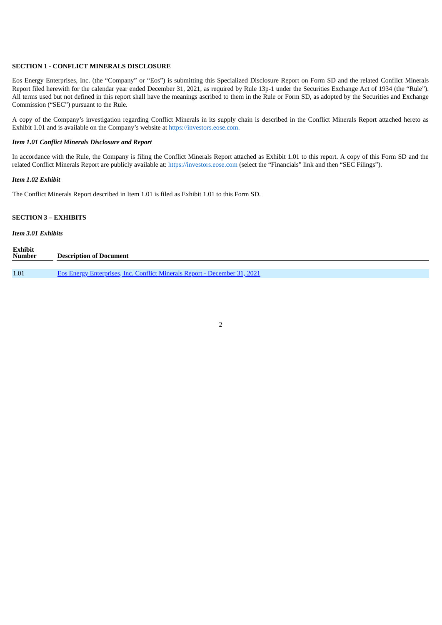#### **SECTION 1 - CONFLICT MINERALS DISCLOSURE**

Eos Energy Enterprises, Inc. (the "Company" or "Eos") is submitting this Specialized Disclosure Report on Form SD and the related Conflict Minerals Report filed herewith for the calendar year ended December 31, 2021, as required by Rule 13p-1 under the Securities Exchange Act of 1934 (the "Rule"). All terms used but not defined in this report shall have the meanings ascribed to them in the Rule or Form SD, as adopted by the Securities and Exchange Commission ("SEC") pursuant to the Rule.

A copy of the Company's investigation regarding Conflict Minerals in its supply chain is described in the Conflict Minerals Report attached hereto as Exhibit 1.01 and is available on the Company's website at https://investors.eose.com.

# *Item 1.01 Conflict Minerals Disclosure and Report*

In accordance with the Rule, the Company is filing the Conflict Minerals Report attached as Exhibit 1.01 to this report. A copy of this Form SD and the related Conflict Minerals Report are publicly available at: https://investors.eose.com (select the "Financials" link and then "SEC Filings").

#### *Item 1.02 Exhibit*

The Conflict Minerals Report described in Item 1.01 is filed as Exhibit 1.01 to this Form SD.

## **SECTION 3 – EXHIBITS**

# *Item 3.01 Exhibits*

| <b>Exhibit</b><br><b>Number</b> | <b>Description of Document</b>                                                   |
|---------------------------------|----------------------------------------------------------------------------------|
|                                 |                                                                                  |
| 1.01                            | <b>Eos Energy Enterprises, Inc. Conflict Minerals Report - December 31, 2021</b> |

2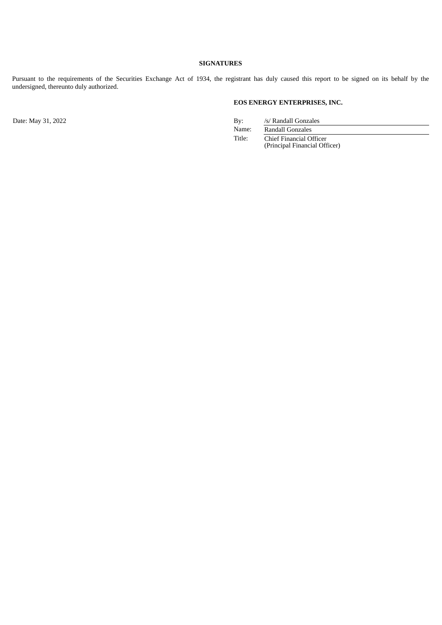# **SIGNATURES**

Pursuant to the requirements of the Securities Exchange Act of 1934, the registrant has duly caused this report to be signed on its behalf by the undersigned, thereunto duly authorized.

# **EOS ENERGY ENTERPRISES, INC.**

Date: May 31, 2022 By: /s/ Randall Gonzales<br>Name: /s/ Randall Gonzales<br>Name: /s/ Randall Gonzales

Randall Gonzales

Title: Chief Financial Officer (Principal Financial Officer)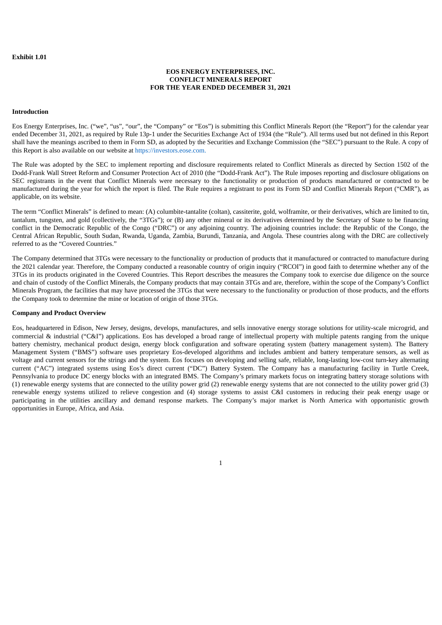#### <span id="page-3-0"></span>**Exhibit 1.01**

## **EOS ENERGY ENTERPRISES, INC. CONFLICT MINERALS REPORT FOR THE YEAR ENDED DECEMBER 31, 2021**

#### **Introduction**

Eos Energy Enterprises, Inc. ("we", "us", "our", the "Company" or "Eos") is submitting this Conflict Minerals Report (the "Report") for the calendar year ended December 31, 2021, as required by Rule 13p-1 under the Securities Exchange Act of 1934 (the "Rule"). All terms used but not defined in this Report shall have the meanings ascribed to them in Form SD, as adopted by the Securities and Exchange Commission (the "SEC") pursuant to the Rule. A copy of this Report is also available on our website at https://investors.eose.com.

The Rule was adopted by the SEC to implement reporting and disclosure requirements related to Conflict Minerals as directed by Section 1502 of the Dodd-Frank Wall Street Reform and Consumer Protection Act of 2010 (the "Dodd-Frank Act"). The Rule imposes reporting and disclosure obligations on SEC registrants in the event that Conflict Minerals were necessary to the functionality or production of products manufactured or contracted to be manufactured during the year for which the report is filed. The Rule requires a registrant to post its Form SD and Conflict Minerals Report ("CMR"), as applicable, on its website.

The term "Conflict Minerals" is defined to mean: (A) columbite-tantalite (coltan), cassiterite, gold, wolframite, or their derivatives, which are limited to tin, tantalum, tungsten, and gold (collectively, the "3TGs"); or (B) any other mineral or its derivatives determined by the Secretary of State to be financing conflict in the Democratic Republic of the Congo ("DRC") or any adjoining country. The adjoining countries include: the Republic of the Congo, the Central African Republic, South Sudan, Rwanda, Uganda, Zambia, Burundi, Tanzania, and Angola. These countries along with the DRC are collectively referred to as the "Covered Countries."

The Company determined that 3TGs were necessary to the functionality or production of products that it manufactured or contracted to manufacture during the 2021 calendar year. Therefore, the Company conducted a reasonable country of origin inquiry ("RCOI") in good faith to determine whether any of the 3TGs in its products originated in the Covered Countries. This Report describes the measures the Company took to exercise due diligence on the source and chain of custody of the Conflict Minerals, the Company products that may contain 3TGs and are, therefore, within the scope of the Company's Conflict Minerals Program, the facilities that may have processed the 3TGs that were necessary to the functionality or production of those products, and the efforts the Company took to determine the mine or location of origin of those 3TGs.

#### **Company and Product Overview**

Eos, headquartered in Edison, New Jersey, designs, develops, manufactures, and sells innovative energy storage solutions for utility-scale microgrid, and commercial & industrial ("C&I") applications. Eos has developed a broad range of intellectual property with multiple patents ranging from the unique battery chemistry, mechanical product design, energy block configuration and software operating system (battery management system). The Battery Management System ("BMS") software uses proprietary Eos-developed algorithms and includes ambient and battery temperature sensors, as well as voltage and current sensors for the strings and the system. Eos focuses on developing and selling safe, reliable, long-lasting low-cost turn-key alternating current ("AC") integrated systems using Eos's direct current ("DC") Battery System. The Company has a manufacturing facility in Turtle Creek, Pennsylvania to produce DC energy blocks with an integrated BMS. The Company's primary markets focus on integrating battery storage solutions with (1) renewable energy systems that are connected to the utility power grid (2) renewable energy systems that are not connected to the utility power grid (3) renewable energy systems utilized to relieve congestion and (4) storage systems to assist C&I customers in reducing their peak energy usage or participating in the utilities ancillary and demand response markets. The Company's major market is North America with opportunistic growth opportunities in Europe, Africa, and Asia.

1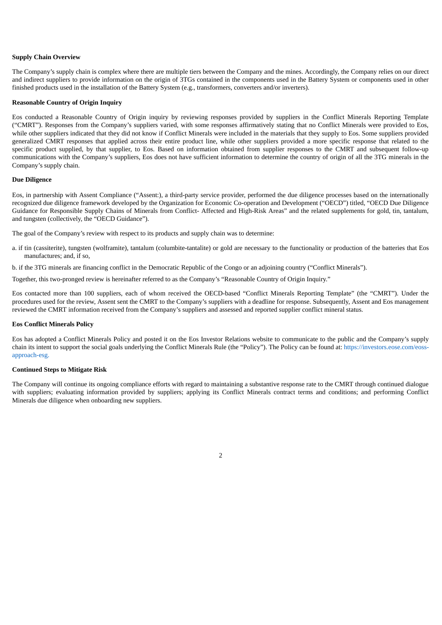#### **Supply Chain Overview**

The Company's supply chain is complex where there are multiple tiers between the Company and the mines. Accordingly, the Company relies on our direct and indirect suppliers to provide information on the origin of 3TGs contained in the components used in the Battery System or components used in other finished products used in the installation of the Battery System (e.g., transformers, converters and/or inverters).

#### **Reasonable Country of Origin Inquiry**

Eos conducted a Reasonable Country of Origin inquiry by reviewing responses provided by suppliers in the Conflict Minerals Reporting Template ("CMRT"). Responses from the Company's suppliers varied, with some responses affirmatively stating that no Conflict Minerals were provided to Eos, while other suppliers indicated that they did not know if Conflict Minerals were included in the materials that they supply to Eos. Some suppliers provided generalized CMRT responses that applied across their entire product line, while other suppliers provided a more specific response that related to the specific product supplied, by that supplier, to Eos. Based on information obtained from supplier responses to the CMRT and subsequent follow-up communications with the Company's suppliers, Eos does not have sufficient information to determine the country of origin of all the 3TG minerals in the Company's supply chain.

#### **Due Diligence**

Eos, in partnership with Assent Compliance ("Assent:), a third-party service provider, performed the due diligence processes based on the internationally recognized due diligence framework developed by the Organization for Economic Co-operation and Development ("OECD") titled, "OECD Due Diligence Guidance for Responsible Supply Chains of Minerals from Conflict- Affected and High-Risk Areas" and the related supplements for gold, tin, tantalum, and tungsten (collectively, the "OECD Guidance").

The goal of the Company's review with respect to its products and supply chain was to determine:

- a. if tin (cassiterite), tungsten (wolframite), tantalum (columbite-tantalite) or gold are necessary to the functionality or production of the batteries that Eos manufactures; and, if so,
- b. if the 3TG minerals are financing conflict in the Democratic Republic of the Congo or an adjoining country ("Conflict Minerals").

Together, this two-pronged review is hereinafter referred to as the Company's "Reasonable Country of Origin Inquiry."

Eos contacted more than 100 suppliers, each of whom received the OECD-based "Conflict Minerals Reporting Template" (the "CMRT"). Under the procedures used for the review, Assent sent the CMRT to the Company's suppliers with a deadline for response. Subsequently, Assent and Eos management reviewed the CMRT information received from the Company's suppliers and assessed and reported supplier conflict mineral status.

#### **Eos Conflict Minerals Policy**

Eos has adopted a Conflict Minerals Policy and posted it on the Eos Investor Relations website to communicate to the public and the Company's supply chain its intent to support the social goals underlying the Conflict Minerals Rule (the "Policy"). The Policy can be found at: https://investors.eose.com/eossapproach-esg.

## **Continued Steps to Mitigate Risk**

The Company will continue its ongoing compliance efforts with regard to maintaining a substantive response rate to the CMRT through continued dialogue with suppliers; evaluating information provided by suppliers; applying its Conflict Minerals contract terms and conditions; and performing Conflict Minerals due diligence when onboarding new suppliers.

2